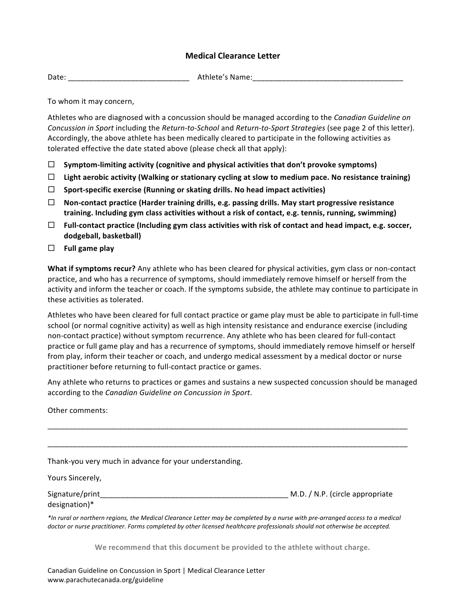## **Medical Clearance Letter**

Date: which can be a set of the control of the Athlete's Name:

To whom it may concern,

Athletes who are diagnosed with a concussion should be managed according to the *Canadian Guideline on Concussion in Sport* including the *Return-to-School* and *Return-to-Sport Strategies* (see page 2 of this letter). Accordingly, the above athlete has been medically cleared to participate in the following activities as tolerated effective the date stated above (please check all that apply):

- $\Box$  Symptom-limiting activity (cognitive and physical activities that don't provoke symptoms)
- $\Box$  Light aerobic activity (Walking or stationary cycling at slow to medium pace. No resistance training)
- $\Box$  Sport-specific exercise (Running or skating drills. No head impact activities)
- $\Box$  Non-contact practice (Harder training drills, e.g. passing drills. May start progressive resistance training. Including gym class activities without a risk of contact, e.g. tennis, running, swimming)
- $\Box$  **Full-contact practice (Including gym class activities with risk of contact and head impact, e.g. soccer, dodgeball, basketball)**
- $\Box$  Full game play

**What if symptoms recur?** Any athlete who has been cleared for physical activities, gym class or non-contact practice, and who has a recurrence of symptoms, should immediately remove himself or herself from the activity and inform the teacher or coach. If the symptoms subside, the athlete may continue to participate in these activities as tolerated.

Athletes who have been cleared for full contact practice or game play must be able to participate in full-time school (or normal cognitive activity) as well as high intensity resistance and endurance exercise (including non-contact practice) without symptom recurrence. Any athlete who has been cleared for full-contact practice or full game play and has a recurrence of symptoms, should immediately remove himself or herself from play, inform their teacher or coach, and undergo medical assessment by a medical doctor or nurse practitioner before returning to full-contact practice or games.

Any athlete who returns to practices or games and sustains a new suspected concussion should be managed according to the *Canadian Guideline* on *Concussion in Sport*.

Other comments:

\_\_\_\_\_\_\_\_\_\_\_\_\_\_\_\_\_\_\_\_\_\_\_\_\_\_\_\_\_\_\_\_\_\_\_\_\_\_\_\_\_\_\_\_\_\_\_\_\_\_\_\_\_\_\_\_\_\_\_\_\_\_\_\_\_\_\_\_\_\_\_\_\_\_\_\_\_\_\_\_\_\_\_\_\_\_ \_\_\_\_\_\_\_\_\_\_\_\_\_\_\_\_\_\_\_\_\_\_\_\_\_\_\_\_\_\_\_\_\_\_\_\_\_\_\_\_\_\_\_\_\_\_\_\_\_\_\_\_\_\_\_\_\_\_\_\_\_\_\_\_\_\_\_\_\_\_\_\_\_\_\_\_\_\_\_\_\_\_\_\_\_\_ Thank-you very much in advance for your understanding. Yours Sincerely, Signature/print example and the set of the set of the set of the set of the Signature of the Signature of the set of the set of the set of the set of the set of the set of the set of the set of the set of the set of the se designation)\* \*In rural or northern regions, the Medical Clearance Letter may be completed by a nurse with pre-arranged access to a medical doctor or nurse practitioner. Forms completed by other licensed healthcare professionals should not otherwise be accepted.

We recommend that this document be provided to the athlete without charge.